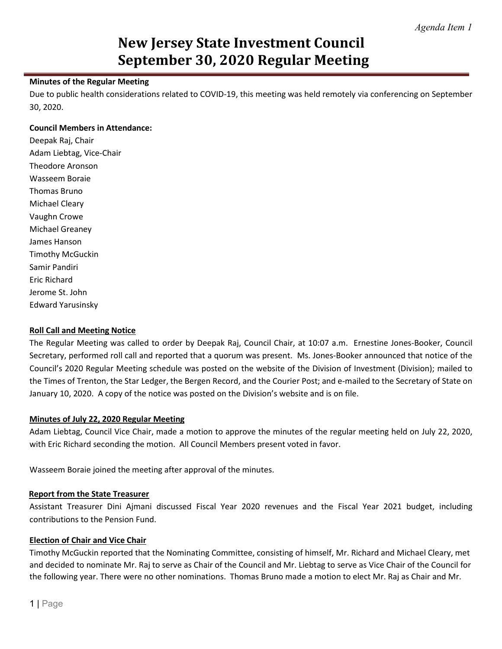# **New Jersey State Investment Council September 30, 2020 Regular Meeting**

#### **Minutes of the Regular Meeting**

Due to public health considerations related to COVID-19, this meeting was held remotely via conferencing on September 30, 2020.

#### **Council Members in Attendance:**

Deepak Raj, Chair Adam Liebtag, Vice-Chair Theodore Aronson Wasseem Boraie Thomas Bruno Michael Cleary Vaughn Crowe Michael Greaney James Hanson Timothy McGuckin Samir Pandiri Eric Richard Jerome St. John Edward Yarusinsky

#### **Roll Call and Meeting Notice**

The Regular Meeting was called to order by Deepak Raj, Council Chair, at 10:07 a.m. Ernestine Jones-Booker, Council Secretary, performed roll call and reported that a quorum was present. Ms. Jones-Booker announced that notice of the Council's 2020 Regular Meeting schedule was posted on the website of the Division of Investment (Division); mailed to the Times of Trenton, the Star Ledger, the Bergen Record, and the Courier Post; and e-mailed to the Secretary of State on January 10, 2020. A copy of the notice was posted on the Division's website and is on file.

#### **Minutes of July 22, 2020 Regular Meeting**

Adam Liebtag, Council Vice Chair, made a motion to approve the minutes of the regular meeting held on July 22, 2020, with Eric Richard seconding the motion. All Council Members present voted in favor.

Wasseem Boraie joined the meeting after approval of the minutes.

#### **Report from the State Treasurer**

Assistant Treasurer Dini Ajmani discussed Fiscal Year 2020 revenues and the Fiscal Year 2021 budget, including contributions to the Pension Fund.

#### **Election of Chair and Vice Chair**

Timothy McGuckin reported that the Nominating Committee, consisting of himself, Mr. Richard and Michael Cleary, met and decided to nominate Mr. Raj to serve as Chair of the Council and Mr. Liebtag to serve as Vice Chair of the Council for the following year. There were no other nominations. Thomas Bruno made a motion to elect Mr. Raj as Chair and Mr.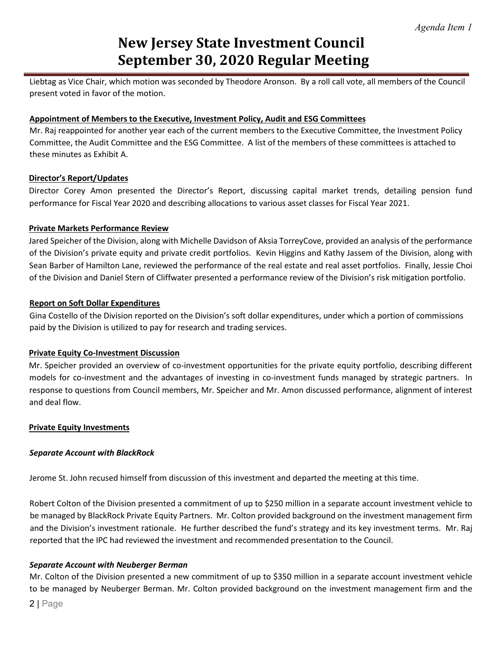# **New Jersey State Investment Council September 30, 2020 Regular Meeting**

Liebtag as Vice Chair, which motion was seconded by Theodore Aronson. By a roll call vote, all members of the Council present voted in favor of the motion.

#### **Appointment of Members to the Executive, Investment Policy, Audit and ESG Committees**

Mr. Raj reappointed for another year each of the current members to the Executive Committee, the Investment Policy Committee, the Audit Committee and the ESG Committee. A list of the members of these committees is attached to these minutes as Exhibit A.

#### **Director's Report/Updates**

Director Corey Amon presented the Director's Report, discussing capital market trends, detailing pension fund performance for Fiscal Year 2020 and describing allocations to various asset classes for Fiscal Year 2021.

#### **Private Markets Performance Review**

Jared Speicher of the Division, along with Michelle Davidson of Aksia TorreyCove, provided an analysis of the performance of the Division's private equity and private credit portfolios. Kevin Higgins and Kathy Jassem of the Division, along with Sean Barber of Hamilton Lane, reviewed the performance of the real estate and real asset portfolios. Finally, Jessie Choi of the Division and Daniel Stern of Cliffwater presented a performance review of the Division's risk mitigation portfolio.

#### **Report on Soft Dollar Expenditures**

Gina Costello of the Division reported on the Division's soft dollar expenditures, under which a portion of commissions paid by the Division is utilized to pay for research and trading services.

#### **Private Equity Co-Investment Discussion**

Mr. Speicher provided an overview of co-investment opportunities for the private equity portfolio, describing different models for co-investment and the advantages of investing in co-investment funds managed by strategic partners. In response to questions from Council members, Mr. Speicher and Mr. Amon discussed performance, alignment of interest and deal flow.

#### **Private Equity Investments**

#### *Separate Account with BlackRock*

Jerome St. John recused himself from discussion of this investment and departed the meeting at this time.

Robert Colton of the Division presented a commitment of up to \$250 million in a separate account investment vehicle to be managed by BlackRock Private Equity Partners. Mr. Colton provided background on the investment management firm and the Division's investment rationale. He further described the fund's strategy and its key investment terms. Mr. Raj reported that the IPC had reviewed the investment and recommended presentation to the Council.

#### *Separate Account with Neuberger Berman*

Mr. Colton of the Division presented a new commitment of up to \$350 million in a separate account investment vehicle to be managed by Neuberger Berman. Mr. Colton provided background on the investment management firm and the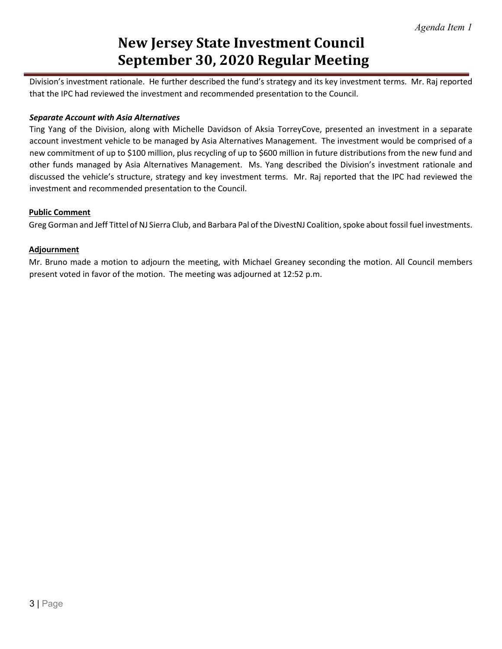# **New Jersey State Investment Council September 30, 2020 Regular Meeting**

Division's investment rationale. He further described the fund's strategy and its key investment terms. Mr. Raj reported that the IPC had reviewed the investment and recommended presentation to the Council.

#### *Separate Account with Asia Alternatives*

Ting Yang of the Division, along with Michelle Davidson of Aksia TorreyCove, presented an investment in a separate account investment vehicle to be managed by Asia Alternatives Management. The investment would be comprised of a new commitment of up to \$100 million, plus recycling of up to \$600 million in future distributions from the new fund and other funds managed by Asia Alternatives Management. Ms. Yang described the Division's investment rationale and discussed the vehicle's structure, strategy and key investment terms. Mr. Raj reported that the IPC had reviewed the investment and recommended presentation to the Council.

#### **Public Comment**

Greg Gorman and Jeff Tittel of NJ Sierra Club, and Barbara Pal of the DivestNJ Coalition, spoke about fossil fuel investments.

#### **Adjournment**

Mr. Bruno made a motion to adjourn the meeting, with Michael Greaney seconding the motion. All Council members present voted in favor of the motion. The meeting was adjourned at 12:52 p.m.